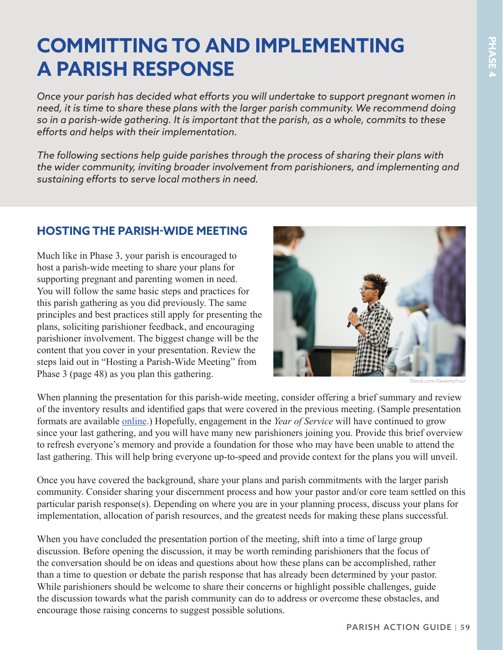## **COMMITTING TO AND IMPLEMENTING A PARISH RESPONSE**

*Once your parish has decided what efforts you will undertake to support pregnant women in need, it is time to share these plans with the larger parish community. We recommend doing so in a parish-wide gathering. It is important that the parish, as a whole, commits to these efforts and helps with their implementation.*

*The following sections help guide parishes through the process of sharing their plans with the wider community, inviting broader involvement from parishioners, and implementing and sustaining efforts to serve local mothers in need.* 

## **HOSTING THE PARISH-WIDE MEETING**

Much like in Phase 3, your parish is encouraged to host a parish-wide meeting to share your plans for supporting pregnant and parenting women in need. You will follow the same basic steps and practices for this parish gathering as you did previously. The same principles and best practices still apply for presenting the plans, soliciting parishioner feedback, and encouraging parishioner involvement. The biggest change will be the content that you cover in your presentation. Review the steps laid out in "Hosting a Parish-Wide Meeting" from Phase 3 (page 48) as you plan this gathering.



iStock.com/SeventyFour

When planning the presentation for this parish-wide meeting, consider offering a brief summary and review of the inventory results and identified gaps that were covered in the previous meeting. (Sample presentation formats are available [online.](https://www.walkingwithmoms.com/supplemental-tools)) Hopefully, engagement in the *Year of Service* will have continued to grow since your last gathering, and you will have many new parishioners joining you. Provide this brief overview to refresh everyone's memory and provide a foundation for those who may have been unable to attend the last gathering. This will help bring everyone up-to-speed and provide context for the plans you will unveil.

Once you have covered the background, share your plans and parish commitments with the larger parish community. Consider sharing your discernment process and how your pastor and/or core team settled on this particular parish response(s). Depending on where you are in your planning process, discuss your plans for implementation, allocation of parish resources, and the greatest needs for making these plans successful.

When you have concluded the presentation portion of the meeting, shift into a time of large group discussion. Before opening the discussion, it may be worth reminding parishioners that the focus of the conversation should be on ideas and questions about how these plans can be accomplished, rather than a time to question or debate the parish response that has already been determined by your pastor. While parishioners should be welcome to share their concerns or highlight possible challenges, guide the discussion towards what the parish community can do to address or overcome these obstacles, and encourage those raising concerns to suggest possible solutions.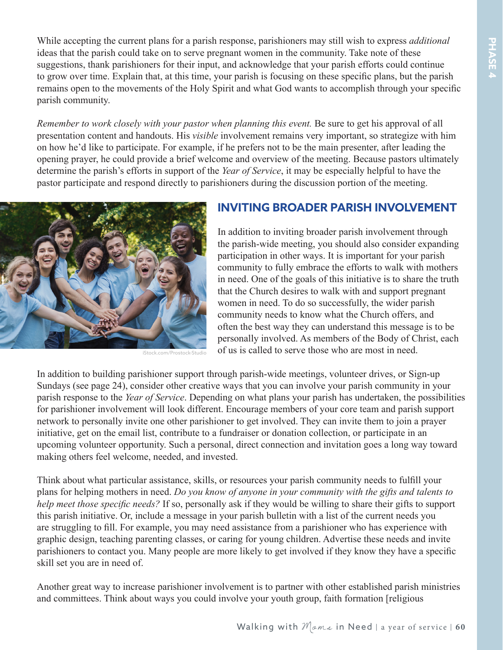PHASE4 **PHASE 4**

While accepting the current plans for a parish response, parishioners may still wish to express *additional* ideas that the parish could take on to serve pregnant women in the community. Take note of these suggestions, thank parishioners for their input, and acknowledge that your parish efforts could continue to grow over time. Explain that, at this time, your parish is focusing on these specific plans, but the parish remains open to the movements of the Holy Spirit and what God wants to accomplish through your specific parish community.

*Remember to work closely with your pastor when planning this event.* Be sure to get his approval of all presentation content and handouts. His *visible* involvement remains very important, so strategize with him on how he'd like to participate. For example, if he prefers not to be the main presenter, after leading the opening prayer, he could provide a brief welcome and overview of the meeting. Because pastors ultimately determine the parish's efforts in support of the *Year of Service*, it may be especially helpful to have the pastor participate and respond directly to parishioners during the discussion portion of the meeting.



iStock.com/Prostock-Studio

## **INVITING BROADER PARISH INVOLVEMENT**

In addition to inviting broader parish involvement through the parish-wide meeting, you should also consider expanding participation in other ways. It is important for your parish community to fully embrace the efforts to walk with mothers in need. One of the goals of this initiative is to share the truth that the Church desires to walk with and support pregnant women in need. To do so successfully, the wider parish community needs to know what the Church offers, and often the best way they can understand this message is to be personally involved. As members of the Body of Christ, each of us is called to serve those who are most in need.

In addition to building parishioner support through parish-wide meetings, volunteer drives, or Sign-up Sundays (see page 24), consider other creative ways that you can involve your parish community in your parish response to the *Year of Service*. Depending on what plans your parish has undertaken, the possibilities for parishioner involvement will look different. Encourage members of your core team and parish support network to personally invite one other parishioner to get involved. They can invite them to join a prayer initiative, get on the email list, contribute to a fundraiser or donation collection, or participate in an upcoming volunteer opportunity. Such a personal, direct connection and invitation goes a long way toward making others feel welcome, needed, and invested.

Think about what particular assistance, skills, or resources your parish community needs to fulfill your plans for helping mothers in need. *Do you know of anyone in your community with the gifts and talents to help meet those specific needs?* If so, personally ask if they would be willing to share their gifts to support this parish initiative. Or, include a message in your parish bulletin with a list of the current needs you are struggling to fill. For example, you may need assistance from a parishioner who has experience with graphic design, teaching parenting classes, or caring for young children. Advertise these needs and invite parishioners to contact you. Many people are more likely to get involved if they know they have a specific skill set you are in need of.

Another great way to increase parishioner involvement is to partner with other established parish ministries and committees. Think about ways you could involve your youth group, faith formation [religious